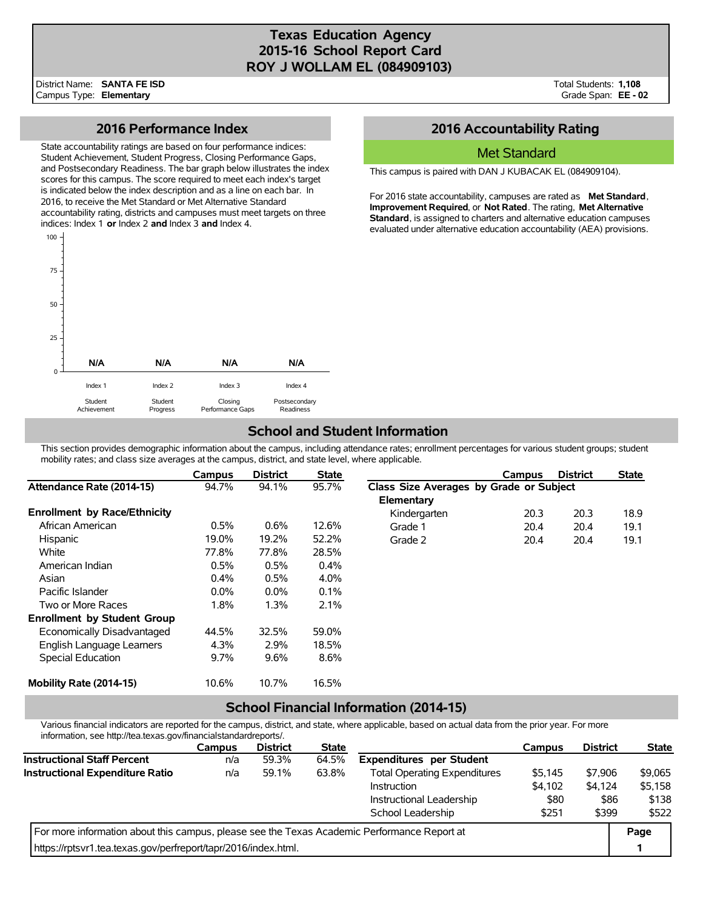## **Texas Education Agency 2015-16 School Report Card ROY J WOLLAM EL (084909103)**

Achievement

### **2016 Performance Index**

State accountability ratings are based on four performance indices: Student Achievement, Student Progress, Closing Performance Gaps, and Postsecondary Readiness. The bar graph below illustrates the index scores for this campus. The score required to meet each index's target is indicated below the index description and as a line on each bar. In 2016, to receive the Met Standard or Met Alternative Standard accountability rating, districts and campuses must meet targets on three indices: Index 1 **or** Index 2 **and** Index 3 **and** Index 4.



Performance Gaps

Progress

# **2016 Accountability Rating**

#### Met Standard

This campus is paired with DAN J KUBACAK EL (084909104).

For 2016 state accountability, campuses are rated as **Met Standard**, **Improvement Required**, or **Not Rated**. The rating, **Met Alternative Standard**, is assigned to charters and alternative education campuses evaluated under alternative education accountability (AEA) provisions.

# **School and Student Information**

Readiness

This section provides demographic information about the campus, including attendance rates; enrollment percentages for various student groups; student mobility rates; and class size averages at the campus, district, and state level, where applicable.

|                                     | Campus  | <b>District</b> | <b>State</b> |                                         | Campus | <b>District</b> | <b>State</b> |
|-------------------------------------|---------|-----------------|--------------|-----------------------------------------|--------|-----------------|--------------|
| Attendance Rate (2014-15)           | 94.7%   | 94.1%           | 95.7%        | Class Size Averages by Grade or Subject |        |                 |              |
|                                     |         |                 |              | Elementary                              |        |                 |              |
| <b>Enrollment by Race/Ethnicity</b> |         |                 |              | Kindergarten                            | 20.3   | 20.3            | 18.9         |
| African American                    | 0.5%    | 0.6%            | 12.6%        | Grade 1                                 | 20.4   | 20.4            | 19.1         |
| Hispanic                            | 19.0%   | 19.2%           | 52.2%        | Grade 2                                 | 20.4   | 20.4            | 19.1         |
| White                               | 77.8%   | 77.8%           | 28.5%        |                                         |        |                 |              |
| American Indian                     | 0.5%    | 0.5%            | 0.4%         |                                         |        |                 |              |
| Asian                               | 0.4%    | 0.5%            | 4.0%         |                                         |        |                 |              |
| Pacific Islander                    | $0.0\%$ | $0.0\%$         | 0.1%         |                                         |        |                 |              |
| Two or More Races                   | 1.8%    | 1.3%            | 2.1%         |                                         |        |                 |              |
| <b>Enrollment by Student Group</b>  |         |                 |              |                                         |        |                 |              |
| Economically Disadvantaged          | 44.5%   | 32.5%           | 59.0%        |                                         |        |                 |              |
| English Language Learners           | 4.3%    | 2.9%            | 18.5%        |                                         |        |                 |              |
| Special Education                   | 9.7%    | 9.6%            | 8.6%         |                                         |        |                 |              |
| Mobility Rate (2014-15)             | 10.6%   | 10.7%           | 16.5%        |                                         |        |                 |              |

### **School Financial Information (2014-15)**

Various financial indicators are reported for the campus, district, and state, where applicable, based on actual data from the prior year. For more information, see http://tea.texas.gov/financialstandardreports/.

|                                                                                             | Campus | <b>District</b> | <b>State</b> |                                     | Campus  | <b>District</b> | <b>State</b> |
|---------------------------------------------------------------------------------------------|--------|-----------------|--------------|-------------------------------------|---------|-----------------|--------------|
| <b>Instructional Staff Percent</b>                                                          | n/a    | 59.3%           | 64.5%        | <b>Expenditures per Student</b>     |         |                 |              |
| Instructional Expenditure Ratio                                                             | n/a    | 59.1%           | 63.8%        | <b>Total Operating Expenditures</b> | \$5,145 | \$7,906         | \$9,065      |
|                                                                                             |        |                 |              | Instruction                         | \$4,102 | \$4,124         | \$5,158      |
|                                                                                             |        |                 |              | Instructional Leadership            | \$80    | \$86            | \$138        |
|                                                                                             |        |                 |              | School Leadership                   | \$251   | \$399           | \$522        |
| For more information about this campus, please see the Texas Academic Performance Report at |        |                 |              |                                     |         |                 | Page         |
| https://rptsvr1.tea.texas.gov/perfreport/tapr/2016/index.html.                              |        |                 |              |                                     |         |                 |              |